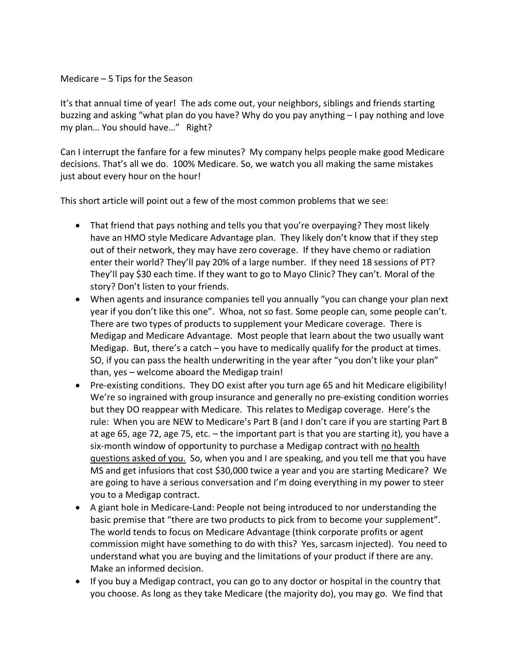## Medicare – 5 Tips for the Season

It's that annual time of year! The ads come out, your neighbors, siblings and friends starting buzzing and asking "what plan do you have? Why do you pay anything – I pay nothing and love my plan… You should have…" Right?

Can I interrupt the fanfare for a few minutes? My company helps people make good Medicare decisions. That's all we do. 100% Medicare. So, we watch you all making the same mistakes just about every hour on the hour!

This short article will point out a few of the most common problems that we see:

- That friend that pays nothing and tells you that you're overpaying? They most likely have an HMO style Medicare Advantage plan. They likely don't know that if they step out of their network, they may have zero coverage. If they have chemo or radiation enter their world? They'll pay 20% of a large number. If they need 18 sessions of PT? They'll pay \$30 each time. If they want to go to Mayo Clinic? They can't. Moral of the story? Don't listen to your friends.
- When agents and insurance companies tell you annually "you can change your plan next year if you don't like this one". Whoa, not so fast. Some people can, some people can't. There are two types of products to supplement your Medicare coverage. There is Medigap and Medicare Advantage. Most people that learn about the two usually want Medigap. But, there's a catch – you have to medically qualify for the product at times. SO, if you can pass the health underwriting in the year after "you don't like your plan" than, yes – welcome aboard the Medigap train!
- Pre-existing conditions. They DO exist after you turn age 65 and hit Medicare eligibility! We're so ingrained with group insurance and generally no pre-existing condition worries but they DO reappear with Medicare. This relates to Medigap coverage. Here's the rule: When you are NEW to Medicare's Part B (and I don't care if you are starting Part B at age 65, age 72, age 75, etc. – the important part is that you are starting it), you have a six-month window of opportunity to purchase a Medigap contract with no health questions asked of you. So, when you and I are speaking, and you tell me that you have MS and get infusions that cost \$30,000 twice a year and you are starting Medicare? We are going to have a serious conversation and I'm doing everything in my power to steer you to a Medigap contract.
- A giant hole in Medicare-Land: People not being introduced to nor understanding the basic premise that "there are two products to pick from to become your supplement". The world tends to focus on Medicare Advantage (think corporate profits or agent commission might have something to do with this? Yes, sarcasm injected). You need to understand what you are buying and the limitations of your product if there are any. Make an informed decision.
- If you buy a Medigap contract, you can go to any doctor or hospital in the country that you choose. As long as they take Medicare (the majority do), you may go. We find that